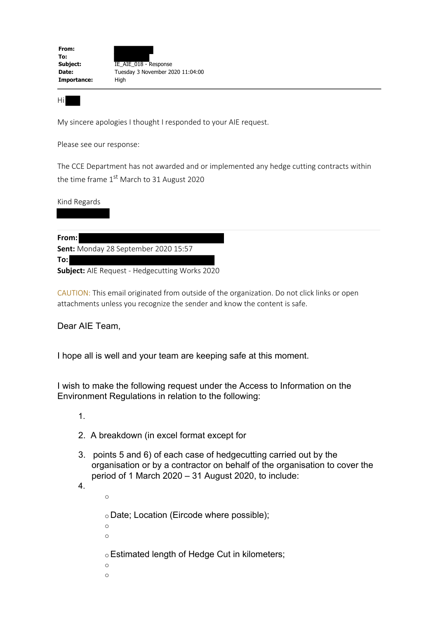| From:       |                                  |
|-------------|----------------------------------|
| To:         |                                  |
| Subject:    | IE AIE 018 - Response            |
| Date:       | Tuesday 3 November 2020 11:04:00 |
| Importance: | High                             |
|             |                                  |

Hi

My sincere apologies I thought I responded to your AIE request.

Please see our response:

The CCE Department has not awarded and or implemented any hedge cutting contracts within the time frame 1<sup>st</sup> March to 31 August 2020

Kind Regards



CAUTION: This email originated from outside of the organization. Do not click links or open attachments unless you recognize the sender and know the content is safe.

Dear AIE Team,

I hope all is well and your team are keeping safe at this moment.

I wish to make the following request under the Access to Information on the Environment Regulations in relation to the following:

1.

- 2. A breakdown (in excel format except for
- 3. points 5 and 6) of each case of hedgecutting carried out by the organisation or by a contractor on behalf of the organisation to cover the period of 1 March 2020 – 31 August 2020, to include:

4.

o

 $\circ$  Date; Location (Eircode where possible); o o oEstimated length of Hedge Cut in kilometers; o o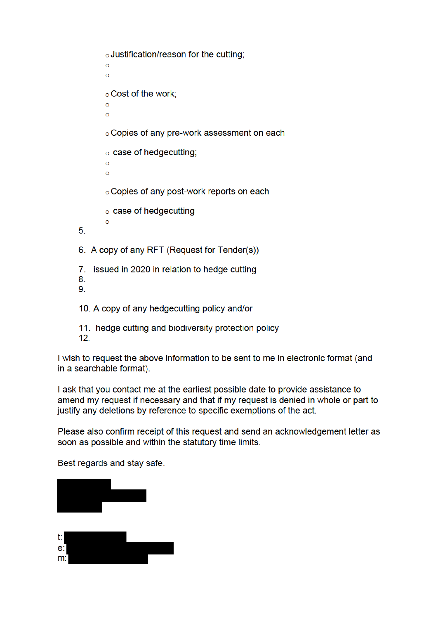o Justification/reason for the cutting;  $\Omega$  $\circ$ o Cost of the work;  $\Omega$  $\circ$ ○ Copies of any pre-work assessment on each  $\circ$  case of hedgecutting;  $\circ$  $\Omega$ o Copies of any post-work reports on each  $\circ$  case of hedgecutting  $\circ$  $5<sub>1</sub>$ 6. A copy of any RFT (Request for Tender(s)) 7. issued in 2020 in relation to hedge cutting 8. 9. 10. A copy of any hedgecutting policy and/or

11. hedge cutting and biodiversity protection policy  $12.$ 

I wish to request the above information to be sent to me in electronic format (and in a searchable format).

I ask that you contact me at the earliest possible date to provide assistance to amend my request if necessary and that if my request is denied in whole or part to justify any deletions by reference to specific exemptions of the act.

Please also confirm receipt of this request and send an acknowledgement letter as soon as possible and within the statutory time limits.

Best regards and stay safe.



| ι. |  |  |
|----|--|--|
| e: |  |  |
| m: |  |  |